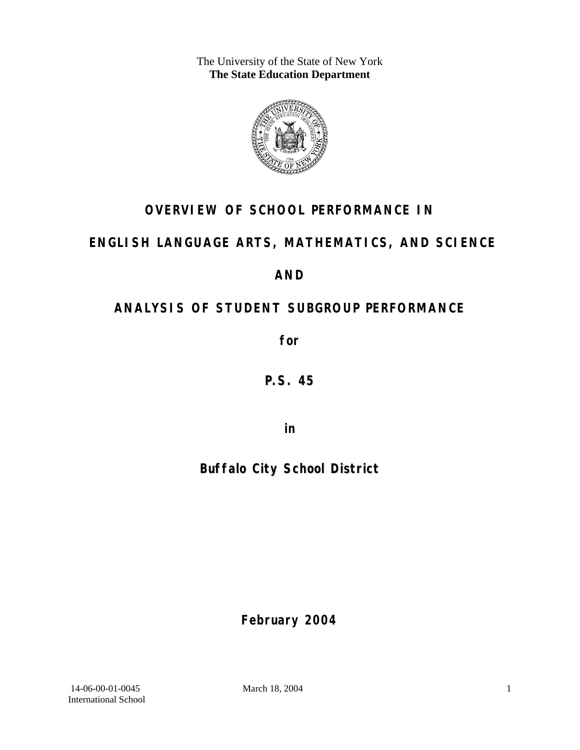The University of the State of New York **The State Education Department** 



# **OVERVIEW OF SCHOOL PERFORMANCE IN**

# **ENGLISH LANGUAGE ARTS, MATHEMATICS, AND SCIENCE**

**AND** 

# **ANALYSIS OF STUDENT SUBGROUP PERFORMANCE**

**for** 

**P.S. 45**

**in** 

# **Buffalo City School District**

**February 2004**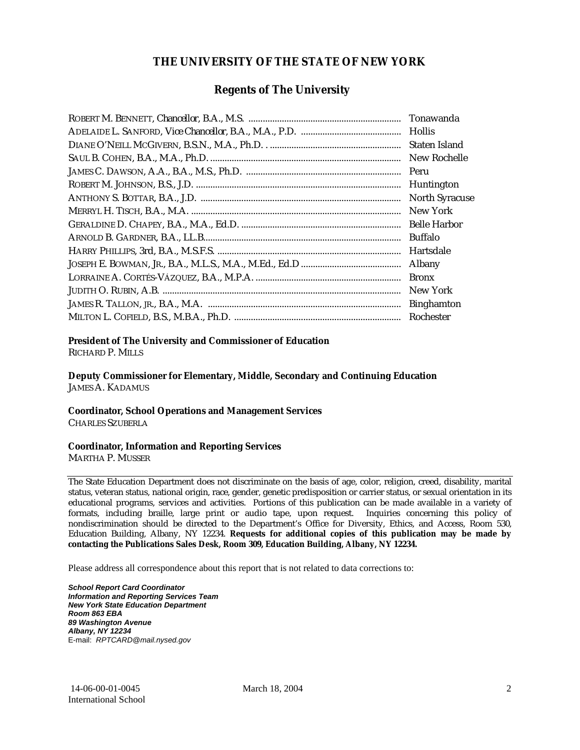### **THE UNIVERSITY OF THE STATE OF NEW YORK**

### **Regents of The University**

| Tonawanda             |
|-----------------------|
| <b>Hollis</b>         |
| Staten Island         |
| New Rochelle          |
| Peru                  |
| Huntington            |
| <b>North Syracuse</b> |
| New York              |
| <b>Belle Harbor</b>   |
| <b>Buffalo</b>        |
| Hartsdale             |
| Albany                |
| <b>Bronx</b>          |
| New York              |
| <b>Binghamton</b>     |
| Rochester             |

#### **President of The University and Commissioner of Education**

RICHARD P. MILLS

**Deputy Commissioner for Elementary, Middle, Secondary and Continuing Education**  JAMES A. KADAMUS

#### **Coordinator, School Operations and Management Services**

CHARLES SZUBERLA

#### **Coordinator, Information and Reporting Services**

MARTHA P. MUSSER

The State Education Department does not discriminate on the basis of age, color, religion, creed, disability, marital status, veteran status, national origin, race, gender, genetic predisposition or carrier status, or sexual orientation in its educational programs, services and activities. Portions of this publication can be made available in a variety of formats, including braille, large print or audio tape, upon request. Inquiries concerning this policy of nondiscrimination should be directed to the Department's Office for Diversity, Ethics, and Access, Room 530, Education Building, Albany, NY 12234. **Requests for additional copies of this publication may be made by contacting the Publications Sales Desk, Room 309, Education Building, Albany, NY 12234.** 

Please address all correspondence about this report that is not related to data corrections to:

*School Report Card Coordinator Information and Reporting Services Team New York State Education Department Room 863 EBA 89 Washington Avenue Albany, NY 12234*  E-mail: *RPTCARD@mail.nysed.gov*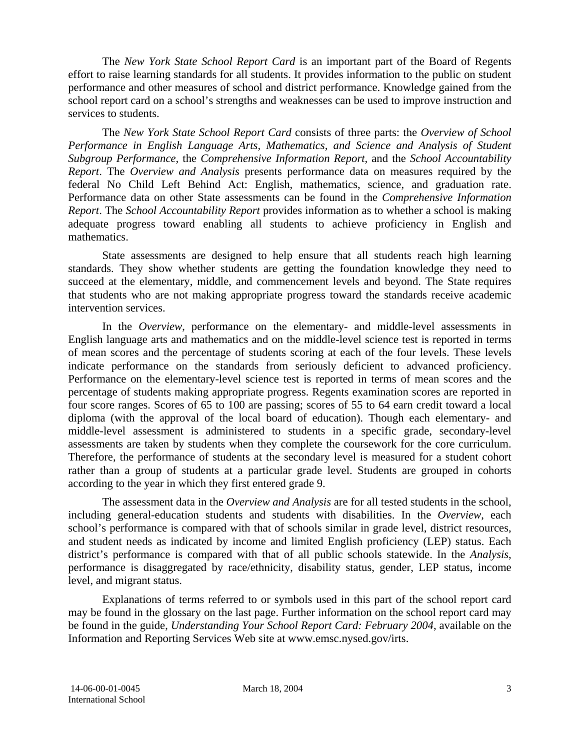The *New York State School Report Card* is an important part of the Board of Regents effort to raise learning standards for all students. It provides information to the public on student performance and other measures of school and district performance. Knowledge gained from the school report card on a school's strengths and weaknesses can be used to improve instruction and services to students.

The *New York State School Report Card* consists of three parts: the *Overview of School Performance in English Language Arts, Mathematics, and Science and Analysis of Student Subgroup Performance,* the *Comprehensive Information Report,* and the *School Accountability Report*. The *Overview and Analysis* presents performance data on measures required by the federal No Child Left Behind Act: English, mathematics, science, and graduation rate. Performance data on other State assessments can be found in the *Comprehensive Information Report*. The *School Accountability Report* provides information as to whether a school is making adequate progress toward enabling all students to achieve proficiency in English and mathematics.

State assessments are designed to help ensure that all students reach high learning standards. They show whether students are getting the foundation knowledge they need to succeed at the elementary, middle, and commencement levels and beyond. The State requires that students who are not making appropriate progress toward the standards receive academic intervention services.

In the *Overview*, performance on the elementary- and middle-level assessments in English language arts and mathematics and on the middle-level science test is reported in terms of mean scores and the percentage of students scoring at each of the four levels. These levels indicate performance on the standards from seriously deficient to advanced proficiency. Performance on the elementary-level science test is reported in terms of mean scores and the percentage of students making appropriate progress. Regents examination scores are reported in four score ranges. Scores of 65 to 100 are passing; scores of 55 to 64 earn credit toward a local diploma (with the approval of the local board of education). Though each elementary- and middle-level assessment is administered to students in a specific grade, secondary-level assessments are taken by students when they complete the coursework for the core curriculum. Therefore, the performance of students at the secondary level is measured for a student cohort rather than a group of students at a particular grade level. Students are grouped in cohorts according to the year in which they first entered grade 9.

The assessment data in the *Overview and Analysis* are for all tested students in the school, including general-education students and students with disabilities. In the *Overview*, each school's performance is compared with that of schools similar in grade level, district resources, and student needs as indicated by income and limited English proficiency (LEP) status. Each district's performance is compared with that of all public schools statewide. In the *Analysis*, performance is disaggregated by race/ethnicity, disability status, gender, LEP status, income level, and migrant status.

Explanations of terms referred to or symbols used in this part of the school report card may be found in the glossary on the last page. Further information on the school report card may be found in the guide, *Understanding Your School Report Card: February 2004*, available on the Information and Reporting Services Web site at www.emsc.nysed.gov/irts.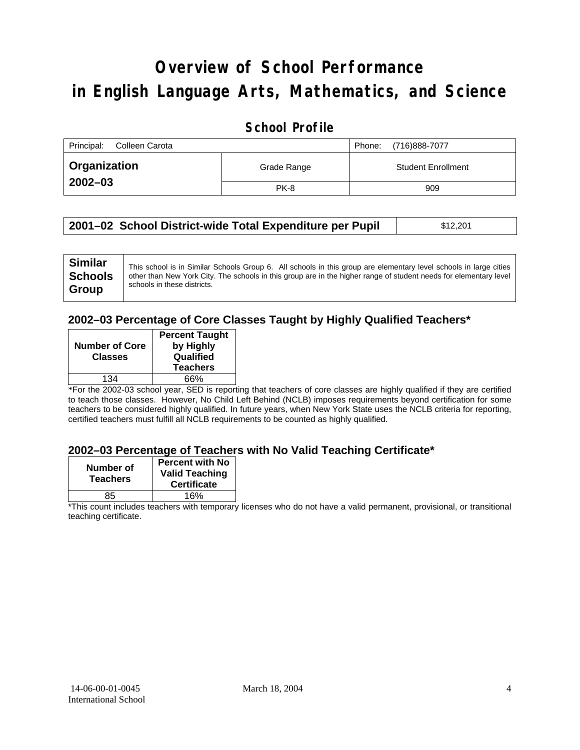# **Overview of School Performance in English Language Arts, Mathematics, and Science**

### **School Profile**

| Principal:<br>Colleen Carota | (716)888-7077<br>Phone: |                           |
|------------------------------|-------------------------|---------------------------|
| <b>Organization</b>          | Grade Range             | <b>Student Enrollment</b> |
| $2002 - 03$                  | <b>PK-8</b>             | 909                       |

| 2001–02 School District-wide Total Expenditure per Pupil | \$12,201 |
|----------------------------------------------------------|----------|
|----------------------------------------------------------|----------|

### **2002–03 Percentage of Core Classes Taught by Highly Qualified Teachers\***

| <b>Number of Core</b><br><b>Classes</b> | <b>Percent Taught</b><br>by Highly<br>Qualified<br><b>Teachers</b> |
|-----------------------------------------|--------------------------------------------------------------------|
|                                         |                                                                    |
| 134                                     | 66%                                                                |
|                                         |                                                                    |

\*For the 2002-03 school year, SED is reporting that teachers of core classes are highly qualified if they are certified to teach those classes. However, No Child Left Behind (NCLB) imposes requirements beyond certification for some teachers to be considered highly qualified. In future years, when New York State uses the NCLB criteria for reporting, certified teachers must fulfill all NCLB requirements to be counted as highly qualified.

#### **2002–03 Percentage of Teachers with No Valid Teaching Certificate\***

| Number of<br><b>Teachers</b> | <b>Percent with No</b><br><b>Valid Teaching</b><br><b>Certificate</b> |
|------------------------------|-----------------------------------------------------------------------|
| 85                           | 16%                                                                   |

\*This count includes teachers with temporary licenses who do not have a valid permanent, provisional, or transitional teaching certificate.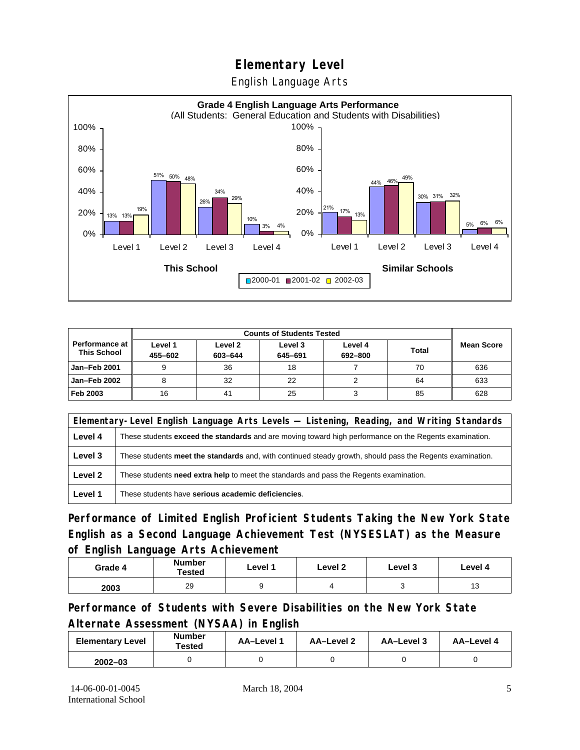English Language Arts



|                                      |                    | <b>Counts of Students Tested</b> |                    |                    |       |                   |
|--------------------------------------|--------------------|----------------------------------|--------------------|--------------------|-------|-------------------|
| Performance at<br><b>This School</b> | Level 1<br>455-602 | Level 2<br>603-644               | Level 3<br>645-691 | Level 4<br>692-800 | Total | <b>Mean Score</b> |
| Jan-Feb 2001                         |                    | 36                               | 18                 |                    | 70    | 636               |
| Jan-Feb 2002                         |                    | 32                               | 22                 |                    | 64    | 633               |
| Feb 2003                             | 16                 | 41                               | 25                 |                    | 85    | 628               |

| Elementary-Level English Language Arts Levels — Listening, Reading, and Writing Standards |                                                                                                               |  |  |  |
|-------------------------------------------------------------------------------------------|---------------------------------------------------------------------------------------------------------------|--|--|--|
| Level 4                                                                                   | These students <b>exceed the standards</b> and are moving toward high performance on the Regents examination. |  |  |  |
| Level 3                                                                                   | These students meet the standards and, with continued steady growth, should pass the Regents examination.     |  |  |  |
| Level 2                                                                                   | These students <b>need extra help</b> to meet the standards and pass the Regents examination.                 |  |  |  |
| Level 1                                                                                   | These students have serious academic deficiencies.                                                            |  |  |  |

**Performance of Limited English Proficient Students Taking the New York State English as a Second Language Achievement Test (NYSESLAT) as the Measure of English Language Arts Achievement**

| Grade 4 | <b>Number</b><br><b>Tested</b> | Level 1 | Level 2 | Level 3 | Level 4              |
|---------|--------------------------------|---------|---------|---------|----------------------|
| 2003    | 29                             |         |         |         | $\overline{A}$<br>יי |

**Performance of Students with Severe Disabilities on the New York State Alternate Assessment (NYSAA) in English** 

| <b>Elementary Level</b> | Number<br>Tested | <b>AA-Level 1</b> | AA-Level 2 | AA-Level 3 | AA-Level 4 |
|-------------------------|------------------|-------------------|------------|------------|------------|
| $2002 - 03$             |                  |                   |            |            |            |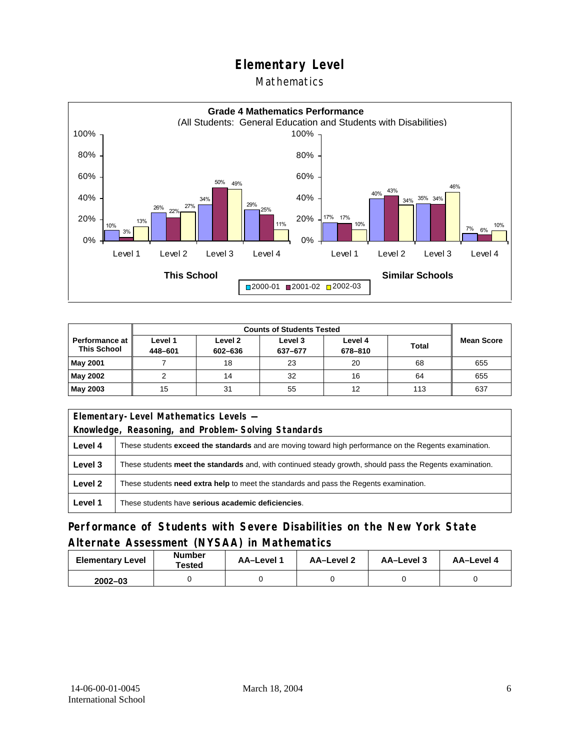### **Mathematics**



|                                        | <b>Counts of Students Tested</b> |                    |                    |                    |              |                   |
|----------------------------------------|----------------------------------|--------------------|--------------------|--------------------|--------------|-------------------|
| Performance at I<br><b>This School</b> | Level 1<br>448-601               | Level 2<br>602-636 | Level 3<br>637-677 | Level 4<br>678-810 | <b>Total</b> | <b>Mean Score</b> |
| <b>May 2001</b>                        |                                  | 18                 | 23                 | 20                 | 68           | 655               |
| May 2002                               |                                  | 14                 | 32                 | 16                 | 64           | 655               |
| May 2003                               | 15                               | 31                 | 55                 | 12                 | 113          | 637               |

|         | Elementary-Level Mathematics Levels -                                                                         |  |  |  |
|---------|---------------------------------------------------------------------------------------------------------------|--|--|--|
|         | Knowledge, Reasoning, and Problem-Solving Standards                                                           |  |  |  |
| Level 4 | These students <b>exceed the standards</b> and are moving toward high performance on the Regents examination. |  |  |  |
| Level 3 | These students meet the standards and, with continued steady growth, should pass the Regents examination.     |  |  |  |
| Level 2 | These students need extra help to meet the standards and pass the Regents examination.                        |  |  |  |
| Level 1 | These students have serious academic deficiencies.                                                            |  |  |  |

## **Performance of Students with Severe Disabilities on the New York State Alternate Assessment (NYSAA) in Mathematics**

| <b>Elementary Level</b> | <b>Number</b><br>Tested | AA-Level 1 | AA-Level 2 | AA-Level 3 | AA-Level 4 |
|-------------------------|-------------------------|------------|------------|------------|------------|
| $2002 - 03$             |                         |            |            |            |            |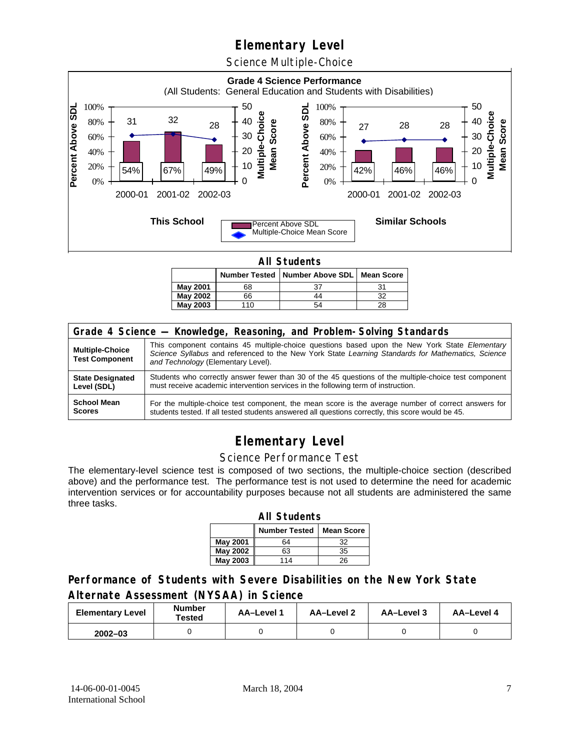Science Multiple-Choice



**All Students** 

|                 |    | Number Tested   Number Above SDL   Mean Score |    |
|-----------------|----|-----------------------------------------------|----|
| May 2001        | 68 | 37                                            | 31 |
| May 2002        | 66 | 44                                            | 32 |
| <b>May 2003</b> | 10 | 54                                            | 28 |

| Grade 4 Science - Knowledge, Reasoning, and Problem-Solving Standards |                                                                                                                                                                                                                                          |  |  |  |  |
|-----------------------------------------------------------------------|------------------------------------------------------------------------------------------------------------------------------------------------------------------------------------------------------------------------------------------|--|--|--|--|
| <b>Multiple-Choice</b><br><b>Test Component</b>                       | This component contains 45 multiple-choice questions based upon the New York State Elementary<br>Science Syllabus and referenced to the New York State Learning Standards for Mathematics, Science<br>and Technology (Elementary Level). |  |  |  |  |
| <b>State Designated</b>                                               | Students who correctly answer fewer than 30 of the 45 questions of the multiple-choice test component                                                                                                                                    |  |  |  |  |
| Level (SDL)                                                           | must receive academic intervention services in the following term of instruction.                                                                                                                                                        |  |  |  |  |
| <b>School Mean</b>                                                    | For the multiple-choice test component, the mean score is the average number of correct answers for                                                                                                                                      |  |  |  |  |
| <b>Scores</b>                                                         | students tested. If all tested students answered all questions correctly, this score would be 45.                                                                                                                                        |  |  |  |  |

# **Elementary Level**

#### Science Performance Test

The elementary-level science test is composed of two sections, the multiple-choice section (described above) and the performance test. The performance test is not used to determine the need for academic intervention services or for accountability purposes because not all students are administered the same three tasks.

| <b>All Students</b>                       |     |    |  |  |  |  |
|-------------------------------------------|-----|----|--|--|--|--|
| <b>Number Tested</b><br><b>Mean Score</b> |     |    |  |  |  |  |
| May 2001                                  | 64  | 32 |  |  |  |  |
| May 2002                                  | 63  | 35 |  |  |  |  |
| <b>May 2003</b>                           | 114 | 26 |  |  |  |  |

### **Performance of Students with Severe Disabilities on the New York State Alternate Assessment (NYSAA) in Science**

| <b>Elementary Level</b> | <b>Number</b><br>Tested | AA-Level 1 | AA-Level 2 | AA-Level 3 | AA-Level 4 |
|-------------------------|-------------------------|------------|------------|------------|------------|
| $2002 - 03$             |                         |            |            |            |            |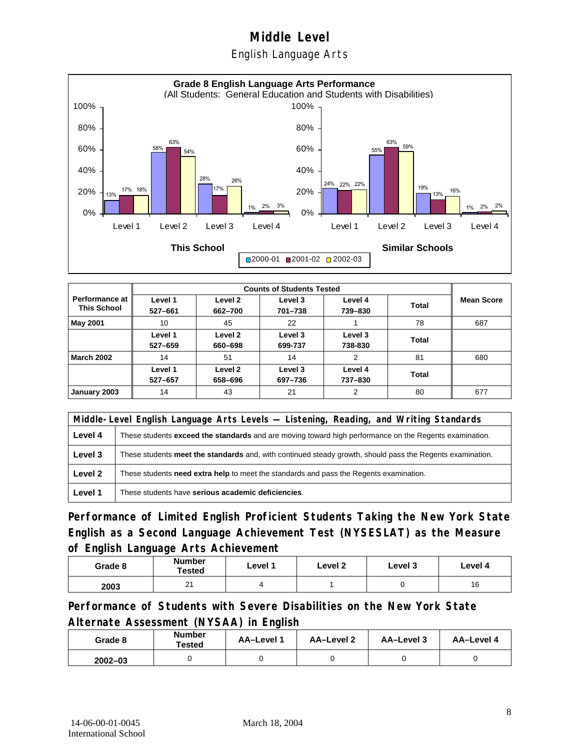English Language Arts



|                                      |                    | <b>Counts of Students Tested</b> |                    |                    |       |                   |  |
|--------------------------------------|--------------------|----------------------------------|--------------------|--------------------|-------|-------------------|--|
| Performance at<br><b>This School</b> | Level 1<br>527-661 | Level 2<br>662-700               | Level 3<br>701-738 | Level 4<br>739-830 | Total | <b>Mean Score</b> |  |
| <b>May 2001</b>                      | 10                 | 45                               | 22                 |                    | 78    | 687               |  |
|                                      | Level 1<br>527-659 | Level 2<br>660-698               | Level 3<br>699-737 | Level 3<br>738-830 | Total |                   |  |
| <b>March 2002</b>                    | 14                 | 51                               | 14                 | 2                  | 81    | 680               |  |
|                                      | Level 1<br>527-657 | Level 2<br>658-696               | Level 3<br>697-736 | Level 4<br>737-830 | Total |                   |  |
| January 2003                         | 14                 | 43                               | 21                 | 2                  | 80    | 677               |  |

|         | Middle-Level English Language Arts Levels - Listening, Reading, and Writing Standards                         |  |  |  |  |
|---------|---------------------------------------------------------------------------------------------------------------|--|--|--|--|
| Level 4 | These students <b>exceed the standards</b> and are moving toward high performance on the Regents examination. |  |  |  |  |
| Level 3 | These students meet the standards and, with continued steady growth, should pass the Regents examination.     |  |  |  |  |
| Level 2 | These students need extra help to meet the standards and pass the Regents examination.                        |  |  |  |  |
| Level 1 | These students have serious academic deficiencies.                                                            |  |  |  |  |

**Performance of Limited English Proficient Students Taking the New York State English as a Second Language Achievement Test (NYSESLAT) as the Measure of English Language Arts Achievement**

| Grade 8 | <b>Number</b><br>Tested | Level 1 | Level 2 | Level 3 | Level 4 |
|---------|-------------------------|---------|---------|---------|---------|
| 2003    | $\sim$<br>$\leq$        |         |         |         | 16      |

**Performance of Students with Severe Disabilities on the New York State Alternate Assessment (NYSAA) in English** 

| Grade 8     | <b>Number</b><br>Tested | <b>AA-Level 1</b> | AA-Level 2 | AA-Level 3 | AA-Level 4 |
|-------------|-------------------------|-------------------|------------|------------|------------|
| $2002 - 03$ |                         |                   |            |            |            |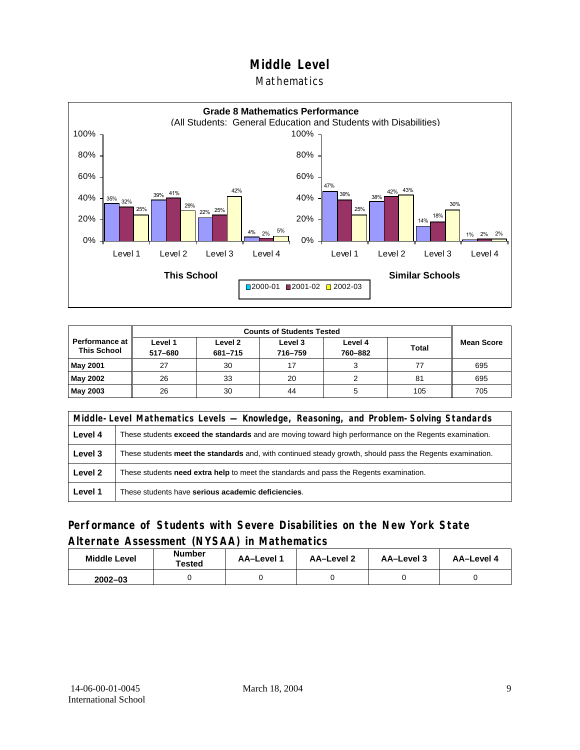### Mathematics



| <b>Counts of Students Tested</b>     |                    |                    |                    |                    |              |                   |
|--------------------------------------|--------------------|--------------------|--------------------|--------------------|--------------|-------------------|
| Performance at<br><b>This School</b> | Level 1<br>517-680 | Level 2<br>681-715 | Level 3<br>716-759 | Level 4<br>760-882 | <b>Total</b> | <b>Mean Score</b> |
| <b>May 2001</b>                      | 27                 | 30                 |                    |                    |              | 695               |
| May 2002                             | 26                 | 33                 | 20                 |                    | 81           | 695               |
| May 2003                             | 26                 | 30                 | 44                 |                    | 105          | 705               |

|         | Middle-Level Mathematics Levels — Knowledge, Reasoning, and Problem-Solving Standards                         |  |  |  |  |
|---------|---------------------------------------------------------------------------------------------------------------|--|--|--|--|
| Level 4 | These students <b>exceed the standards</b> and are moving toward high performance on the Regents examination. |  |  |  |  |
| Level 3 | These students meet the standards and, with continued steady growth, should pass the Regents examination.     |  |  |  |  |
| Level 2 | These students <b>need extra help</b> to meet the standards and pass the Regents examination.                 |  |  |  |  |
| Level 1 | These students have serious academic deficiencies.                                                            |  |  |  |  |

### **Performance of Students with Severe Disabilities on the New York State Alternate Assessment (NYSAA) in Mathematics**

| <b>Middle Level</b> | <b>Number</b><br>Tested | <b>AA–Level</b> 1 | AA-Level 2 | AA-Level 3 | AA-Level 4 |
|---------------------|-------------------------|-------------------|------------|------------|------------|
| $2002 - 03$         |                         |                   |            |            |            |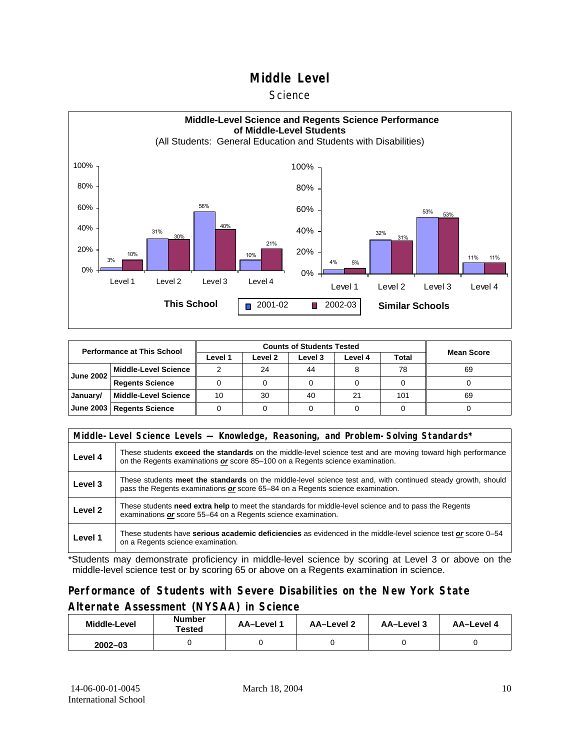#### **Science**



| <b>Performance at This School</b> |                             |         | <b>Mean Score</b> |         |         |       |    |
|-----------------------------------|-----------------------------|---------|-------------------|---------|---------|-------|----|
|                                   |                             | Level 1 | Level 2           | Level 3 | Level 4 | Total |    |
| <b>June 2002</b>                  | <b>Middle-Level Science</b> |         | 24                | 44      |         | 78    | 69 |
|                                   | <b>Regents Science</b>      |         |                   |         |         |       |    |
| January/                          | <b>Middle-Level Science</b> | 10      | 30                | 40      | 21      | 101   | 69 |
| June 2003                         | <b>Regents Science</b>      |         |                   |         |         |       |    |

|         | Middle-Level Science Levels — Knowledge, Reasoning, and Problem-Solving Standards*                                                                                                                  |  |  |  |  |  |  |  |
|---------|-----------------------------------------------------------------------------------------------------------------------------------------------------------------------------------------------------|--|--|--|--|--|--|--|
| Level 4 | These students <b>exceed the standards</b> on the middle-level science test and are moving toward high performance<br>on the Regents examinations or score 85–100 on a Regents science examination. |  |  |  |  |  |  |  |
| Level 3 | These students meet the standards on the middle-level science test and, with continued steady growth, should<br>pass the Regents examinations or score 65–84 on a Regents science examination.      |  |  |  |  |  |  |  |
| Level 2 | These students need extra help to meet the standards for middle-level science and to pass the Regents<br>examinations or score 55–64 on a Regents science examination.                              |  |  |  |  |  |  |  |
| Level 1 | These students have serious academic deficiencies as evidenced in the middle-level science test or score 0–54<br>on a Regents science examination.                                                  |  |  |  |  |  |  |  |

\*Students may demonstrate proficiency in middle-level science by scoring at Level 3 or above on the middle-level science test or by scoring 65 or above on a Regents examination in science.

### **Performance of Students with Severe Disabilities on the New York State Alternate Assessment (NYSAA) in Science**

| Middle-Level | <b>Number</b><br>Tested | AA-Level 1 | AA-Level 2 | AA-Level 3 | AA-Level 4 |  |
|--------------|-------------------------|------------|------------|------------|------------|--|
| $2002 - 03$  |                         |            |            |            |            |  |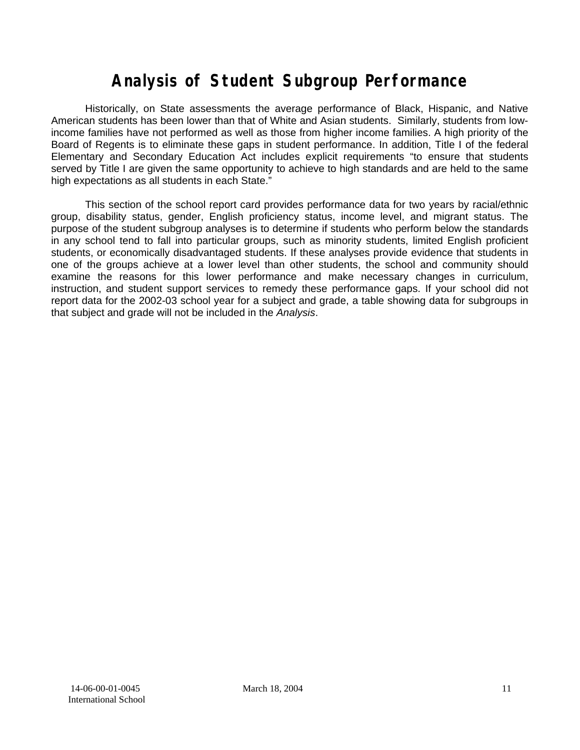# **Analysis of Student Subgroup Performance**

Historically, on State assessments the average performance of Black, Hispanic, and Native American students has been lower than that of White and Asian students. Similarly, students from lowincome families have not performed as well as those from higher income families. A high priority of the Board of Regents is to eliminate these gaps in student performance. In addition, Title I of the federal Elementary and Secondary Education Act includes explicit requirements "to ensure that students served by Title I are given the same opportunity to achieve to high standards and are held to the same high expectations as all students in each State."

This section of the school report card provides performance data for two years by racial/ethnic group, disability status, gender, English proficiency status, income level, and migrant status. The purpose of the student subgroup analyses is to determine if students who perform below the standards in any school tend to fall into particular groups, such as minority students, limited English proficient students, or economically disadvantaged students. If these analyses provide evidence that students in one of the groups achieve at a lower level than other students, the school and community should examine the reasons for this lower performance and make necessary changes in curriculum, instruction, and student support services to remedy these performance gaps. If your school did not report data for the 2002-03 school year for a subject and grade, a table showing data for subgroups in that subject and grade will not be included in the *Analysis*.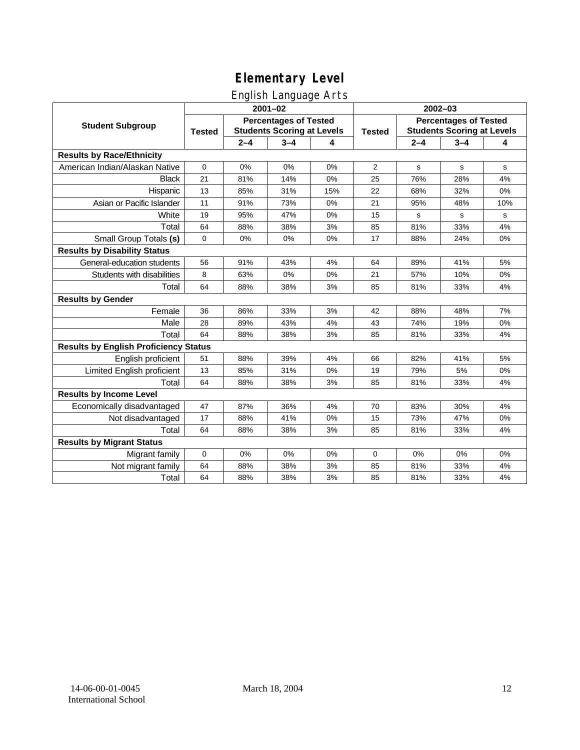## English Language Arts

|                                              |               |                                                                   | ◡<br>$2001 - 02$ |     | $2002 - 03$ |                                                                   |         |       |  |
|----------------------------------------------|---------------|-------------------------------------------------------------------|------------------|-----|-------------|-------------------------------------------------------------------|---------|-------|--|
| <b>Student Subgroup</b>                      | <b>Tested</b> | <b>Percentages of Tested</b><br><b>Students Scoring at Levels</b> |                  |     |             | <b>Percentages of Tested</b><br><b>Students Scoring at Levels</b> |         |       |  |
|                                              |               | $2 - 4$                                                           | $3 - 4$          | 4   |             | $2 - 4$                                                           | $3 - 4$ | 4     |  |
| <b>Results by Race/Ethnicity</b>             |               |                                                                   |                  |     |             |                                                                   |         |       |  |
| American Indian/Alaskan Native               | 0             | 0%                                                                | 0%               | 0%  | 2           | s                                                                 | s       | s     |  |
| <b>Black</b>                                 | 21            | 81%                                                               | 14%              | 0%  | 25          | 76%                                                               | 28%     | 4%    |  |
| Hispanic                                     | 13            | 85%                                                               | 31%              | 15% | 22          | 68%                                                               | 32%     | 0%    |  |
| Asian or Pacific Islander                    | 11            | 91%                                                               | 73%              | 0%  | 21          | 95%                                                               | 48%     | 10%   |  |
| White                                        | 19            | 95%                                                               | 47%              | 0%  | 15          | $\mathbf s$                                                       | s       | s     |  |
| Total                                        | 64            | 88%                                                               | 38%              | 3%  | 85          | 81%                                                               | 33%     | 4%    |  |
| Small Group Totals (s)                       | 0             | 0%                                                                | 0%               | 0%  | 17          | 88%                                                               | 24%     | 0%    |  |
| <b>Results by Disability Status</b>          |               |                                                                   |                  |     |             |                                                                   |         |       |  |
| General-education students                   | 56            | 91%                                                               | 43%              | 4%  | 64          | 89%                                                               | 41%     | 5%    |  |
| Students with disabilities                   | 8             | 63%                                                               | 0%               | 0%  | 21          | 57%                                                               | 10%     | $0\%$ |  |
| Total                                        | 64            | 88%                                                               | 38%              | 3%  | 85          | 81%                                                               | 33%     | 4%    |  |
| <b>Results by Gender</b>                     |               |                                                                   |                  |     |             |                                                                   |         |       |  |
| Female                                       | 36            | 86%                                                               | 33%              | 3%  | 42          | 88%                                                               | 48%     | 7%    |  |
| Male                                         | 28            | 89%                                                               | 43%              | 4%  | 43          | 74%                                                               | 19%     | 0%    |  |
| Total                                        | 64            | 88%                                                               | 38%              | 3%  | 85          | 81%                                                               | 33%     | 4%    |  |
| <b>Results by English Proficiency Status</b> |               |                                                                   |                  |     |             |                                                                   |         |       |  |
| English proficient                           | 51            | 88%                                                               | 39%              | 4%  | 66          | 82%                                                               | 41%     | 5%    |  |
| Limited English proficient                   | 13            | 85%                                                               | 31%              | 0%  | 19          | 79%                                                               | 5%      | 0%    |  |
| Total                                        | 64            | 88%                                                               | 38%              | 3%  | 85          | 81%                                                               | 33%     | 4%    |  |
| <b>Results by Income Level</b>               |               |                                                                   |                  |     |             |                                                                   |         |       |  |
| Economically disadvantaged                   | 47            | 87%                                                               | 36%              | 4%  | 70          | 83%                                                               | 30%     | 4%    |  |
| Not disadvantaged                            | 17            | 88%                                                               | 41%              | 0%  | 15          | 73%                                                               | 47%     | 0%    |  |
| Total                                        | 64            | 88%                                                               | 38%              | 3%  | 85          | 81%                                                               | 33%     | 4%    |  |
| <b>Results by Migrant Status</b>             |               |                                                                   |                  |     |             |                                                                   |         |       |  |
| Migrant family                               | $\mathbf 0$   | 0%                                                                | 0%               | 0%  | $\mathbf 0$ | 0%                                                                | 0%      | 0%    |  |
| Not migrant family                           | 64            | 88%                                                               | 38%              | 3%  | 85          | 81%                                                               | 33%     | 4%    |  |
| Total                                        | 64            | 88%                                                               | 38%              | 3%  | 85          | 81%                                                               | 33%     | 4%    |  |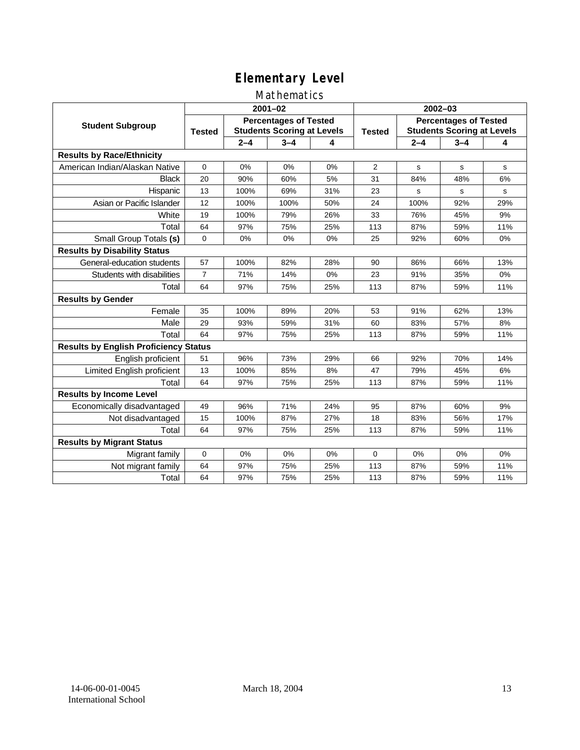### Mathematics

|                                              |                |                                                                   | $2001 - 02$ |     | $2002 - 03$    |                                                                   |                                                                                                                                                       |     |  |
|----------------------------------------------|----------------|-------------------------------------------------------------------|-------------|-----|----------------|-------------------------------------------------------------------|-------------------------------------------------------------------------------------------------------------------------------------------------------|-----|--|
| <b>Student Subgroup</b>                      | <b>Tested</b>  | <b>Percentages of Tested</b><br><b>Students Scoring at Levels</b> |             |     | <b>Tested</b>  | <b>Percentages of Tested</b><br><b>Students Scoring at Levels</b> |                                                                                                                                                       |     |  |
|                                              |                | $2 - 4$                                                           | $3 - 4$     | 4   |                | $2 - 4$                                                           | $3 - 4$<br>s<br>48%<br>s<br>92%<br>45%<br>59%<br>60%<br>66%<br>35%<br>59%<br>62%<br>57%<br>59%<br>70%<br>45%<br>59%<br>60%<br>56%<br>59%<br>0%<br>59% | 4   |  |
| <b>Results by Race/Ethnicity</b>             |                |                                                                   |             |     |                |                                                                   |                                                                                                                                                       |     |  |
| American Indian/Alaskan Native               | $\mathbf 0$    | 0%                                                                | 0%          | 0%  | $\overline{2}$ | s                                                                 |                                                                                                                                                       | s   |  |
| <b>Black</b>                                 | 20             | 90%                                                               | 60%         | 5%  | 31             | 84%                                                               |                                                                                                                                                       | 6%  |  |
| Hispanic                                     | 13             | 100%                                                              | 69%         | 31% | 23             | s                                                                 |                                                                                                                                                       | s   |  |
| Asian or Pacific Islander                    | 12             | 100%                                                              | 100%        | 50% | 24             | 100%                                                              |                                                                                                                                                       | 29% |  |
| White                                        | 19             | 100%                                                              | 79%         | 26% | 33             | 76%                                                               |                                                                                                                                                       | 9%  |  |
| Total                                        | 64             | 97%                                                               | 75%         | 25% | 113            | 87%                                                               |                                                                                                                                                       | 11% |  |
| Small Group Totals (s)                       | $\mathbf 0$    | 0%                                                                | 0%          | 0%  | 25             | 92%                                                               |                                                                                                                                                       | 0%  |  |
| <b>Results by Disability Status</b>          |                |                                                                   |             |     |                |                                                                   |                                                                                                                                                       |     |  |
| General-education students                   | 57             | 100%                                                              | 82%         | 28% | 90             | 86%                                                               |                                                                                                                                                       | 13% |  |
| Students with disabilities                   | $\overline{7}$ | 71%                                                               | 14%         | 0%  | 23             | 91%                                                               |                                                                                                                                                       | 0%  |  |
| Total                                        | 64             | 97%                                                               | 75%         | 25% | 113            | 87%                                                               |                                                                                                                                                       | 11% |  |
| <b>Results by Gender</b>                     |                |                                                                   |             |     |                |                                                                   |                                                                                                                                                       |     |  |
| Female                                       | 35             | 100%                                                              | 89%         | 20% | 53             | 91%                                                               |                                                                                                                                                       | 13% |  |
| Male                                         | 29             | 93%                                                               | 59%         | 31% | 60             | 83%                                                               |                                                                                                                                                       | 8%  |  |
| Total                                        | 64             | 97%                                                               | 75%         | 25% | 113            | 87%                                                               |                                                                                                                                                       | 11% |  |
| <b>Results by English Proficiency Status</b> |                |                                                                   |             |     |                |                                                                   |                                                                                                                                                       |     |  |
| English proficient                           | 51             | 96%                                                               | 73%         | 29% | 66             | 92%                                                               |                                                                                                                                                       | 14% |  |
| Limited English proficient                   | 13             | 100%                                                              | 85%         | 8%  | 47             | 79%                                                               |                                                                                                                                                       | 6%  |  |
| Total                                        | 64             | 97%                                                               | 75%         | 25% | 113            | 87%                                                               |                                                                                                                                                       | 11% |  |
| <b>Results by Income Level</b>               |                |                                                                   |             |     |                |                                                                   |                                                                                                                                                       |     |  |
| Economically disadvantaged                   | 49             | 96%                                                               | 71%         | 24% | 95             | 87%                                                               |                                                                                                                                                       | 9%  |  |
| Not disadvantaged                            | 15             | 100%                                                              | 87%         | 27% | 18             | 83%                                                               |                                                                                                                                                       | 17% |  |
| Total                                        | 64             | 97%                                                               | 75%         | 25% | 113            | 87%                                                               |                                                                                                                                                       | 11% |  |
| <b>Results by Migrant Status</b>             |                |                                                                   |             |     |                |                                                                   |                                                                                                                                                       |     |  |
| Migrant family                               | 0              | 0%                                                                | 0%          | 0%  | $\mathbf 0$    | 0%                                                                |                                                                                                                                                       | 0%  |  |
| Not migrant family                           | 64             | 97%                                                               | 75%         | 25% | 113            | 87%                                                               |                                                                                                                                                       | 11% |  |
| Total                                        | 64             | 97%                                                               | 75%         | 25% | 113            | 87%                                                               | 59%                                                                                                                                                   | 11% |  |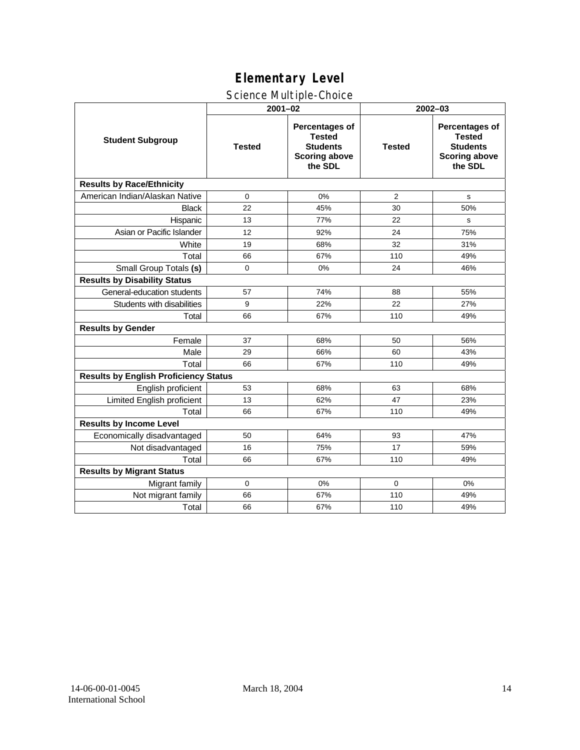### Science Multiple-Choice

|                                              | $2001 - 02$   |                                                                                              | $2002 - 03$    |                                                                                              |  |  |
|----------------------------------------------|---------------|----------------------------------------------------------------------------------------------|----------------|----------------------------------------------------------------------------------------------|--|--|
| <b>Student Subgroup</b>                      | <b>Tested</b> | <b>Percentages of</b><br><b>Tested</b><br><b>Students</b><br><b>Scoring above</b><br>the SDL | <b>Tested</b>  | <b>Percentages of</b><br><b>Tested</b><br><b>Students</b><br><b>Scoring above</b><br>the SDL |  |  |
| <b>Results by Race/Ethnicity</b>             |               |                                                                                              |                |                                                                                              |  |  |
| American Indian/Alaskan Native               | 0             | 0%                                                                                           | $\overline{2}$ | s                                                                                            |  |  |
| <b>Black</b>                                 | 22            | 45%                                                                                          | 30             | 50%                                                                                          |  |  |
| Hispanic                                     | 13            | 77%                                                                                          | 22             | s                                                                                            |  |  |
| Asian or Pacific Islander                    | 12            | 92%                                                                                          | 24             | 75%                                                                                          |  |  |
| White                                        | 19            | 68%                                                                                          | 32             | 31%                                                                                          |  |  |
| Total                                        | 66            | 67%                                                                                          | 110            | 49%                                                                                          |  |  |
| Small Group Totals (s)                       | $\mathbf 0$   | 0%                                                                                           | 24             | 46%                                                                                          |  |  |
| <b>Results by Disability Status</b>          |               |                                                                                              |                |                                                                                              |  |  |
| General-education students                   | 57            | 74%                                                                                          | 88             | 55%                                                                                          |  |  |
| Students with disabilities                   | 9             | 22%                                                                                          | 22             | 27%                                                                                          |  |  |
| Total                                        | 66            | 67%                                                                                          | 110            | 49%                                                                                          |  |  |
| <b>Results by Gender</b>                     |               |                                                                                              |                |                                                                                              |  |  |
| Female                                       | 37            | 68%                                                                                          | 50             | 56%                                                                                          |  |  |
| Male                                         | 29            | 66%                                                                                          | 60             | 43%                                                                                          |  |  |
| Total                                        | 66            | 67%                                                                                          | 110            | 49%                                                                                          |  |  |
| <b>Results by English Proficiency Status</b> |               |                                                                                              |                |                                                                                              |  |  |
| English proficient                           | 53            | 68%                                                                                          | 63             | 68%                                                                                          |  |  |
| Limited English proficient                   | 13            | 62%                                                                                          | 47             | 23%                                                                                          |  |  |
| Total                                        | 66            | 67%                                                                                          | 110            | 49%                                                                                          |  |  |
| <b>Results by Income Level</b>               |               |                                                                                              |                |                                                                                              |  |  |
| Economically disadvantaged                   | 50            | 64%                                                                                          | 93             | 47%                                                                                          |  |  |
| Not disadvantaged                            | 16            | 75%                                                                                          | 17             | 59%                                                                                          |  |  |
| Total                                        | 66            | 67%                                                                                          | 110            | 49%                                                                                          |  |  |
| <b>Results by Migrant Status</b>             |               |                                                                                              |                |                                                                                              |  |  |
| Migrant family                               | 0             | 0%                                                                                           | $\Omega$       | 0%                                                                                           |  |  |
| Not migrant family                           | 66            | 67%                                                                                          | 110            | 49%                                                                                          |  |  |
| Total                                        | 66            | 67%                                                                                          | 110            | 49%                                                                                          |  |  |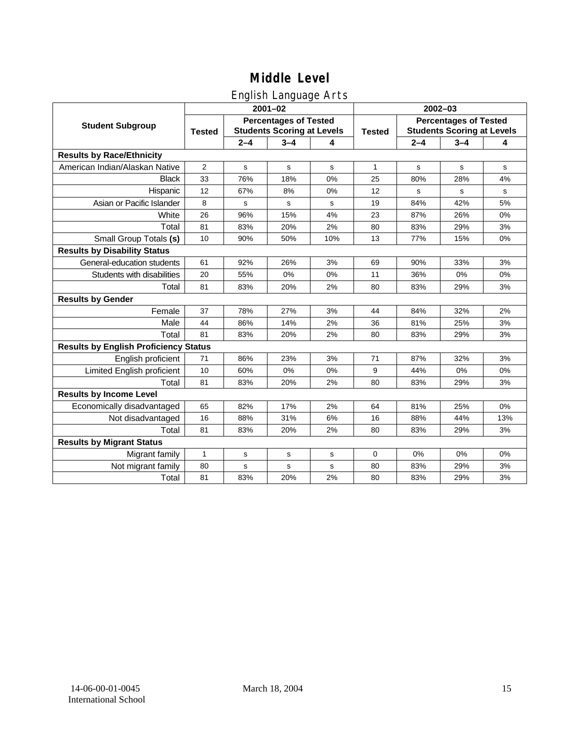## English Language Arts

|                                              |                |                                                                   | ັ<br>$2001 - 02$ |     | 2002-03                             |                                                                   |     |     |  |
|----------------------------------------------|----------------|-------------------------------------------------------------------|------------------|-----|-------------------------------------|-------------------------------------------------------------------|-----|-----|--|
| <b>Student Subgroup</b>                      | <b>Tested</b>  | <b>Percentages of Tested</b><br><b>Students Scoring at Levels</b> |                  |     |                                     | <b>Percentages of Tested</b><br><b>Students Scoring at Levels</b> |     |     |  |
|                                              |                | $2 - 4$                                                           | $3 - 4$          | 4   | <b>Tested</b><br>$2 - 4$<br>$3 - 4$ |                                                                   |     | 4   |  |
| <b>Results by Race/Ethnicity</b>             |                |                                                                   |                  |     |                                     |                                                                   |     |     |  |
| American Indian/Alaskan Native               | $\overline{2}$ | $\mathbf s$                                                       | $\mathbf s$      | s   | 1                                   | $\mathbf s$                                                       | s   | s   |  |
| <b>Black</b>                                 | 33             | 76%                                                               | 18%              | 0%  | 25                                  | 80%                                                               | 28% | 4%  |  |
| Hispanic                                     | 12             | 67%                                                               | 8%               | 0%  | 12                                  | s                                                                 | s   | s   |  |
| Asian or Pacific Islander                    | 8              | s                                                                 | s                | s   | 19                                  | 84%                                                               | 42% | 5%  |  |
| White                                        | 26             | 96%                                                               | 15%              | 4%  | 23                                  | 87%                                                               | 26% | 0%  |  |
| Total                                        | 81             | 83%                                                               | 20%              | 2%  | 80                                  | 83%                                                               | 29% | 3%  |  |
| Small Group Totals (s)                       | 10             | 90%                                                               | 50%              | 10% | 13                                  | 77%                                                               | 15% | 0%  |  |
| <b>Results by Disability Status</b>          |                |                                                                   |                  |     |                                     |                                                                   |     |     |  |
| General-education students                   | 61             | 92%                                                               | 26%              | 3%  | 69                                  | 90%                                                               | 33% | 3%  |  |
| Students with disabilities                   | 20             | 55%                                                               | 0%               | 0%  | 11                                  | 36%                                                               | 0%  | 0%  |  |
| Total                                        | 81             | 83%                                                               | 20%              | 2%  | 80                                  | 83%                                                               | 29% | 3%  |  |
| <b>Results by Gender</b>                     |                |                                                                   |                  |     |                                     |                                                                   |     |     |  |
| Female                                       | 37             | 78%                                                               | 27%              | 3%  | 44                                  | 84%                                                               | 32% | 2%  |  |
| Male                                         | 44             | 86%                                                               | 14%              | 2%  | 36                                  | 81%                                                               | 25% | 3%  |  |
| Total                                        | 81             | 83%                                                               | 20%              | 2%  | 80                                  | 83%                                                               | 29% | 3%  |  |
| <b>Results by English Proficiency Status</b> |                |                                                                   |                  |     |                                     |                                                                   |     |     |  |
| English proficient                           | 71             | 86%                                                               | 23%              | 3%  | 71                                  | 87%                                                               | 32% | 3%  |  |
| Limited English proficient                   | 10             | 60%                                                               | 0%               | 0%  | 9                                   | 44%                                                               | 0%  | 0%  |  |
| Total                                        | 81             | 83%                                                               | 20%              | 2%  | 80                                  | 83%                                                               | 29% | 3%  |  |
| <b>Results by Income Level</b>               |                |                                                                   |                  |     |                                     |                                                                   |     |     |  |
| Economically disadvantaged                   | 65             | 82%                                                               | 17%              | 2%  | 64                                  | 81%                                                               | 25% | 0%  |  |
| Not disadvantaged                            | 16             | 88%                                                               | 31%              | 6%  | 16                                  | 88%                                                               | 44% | 13% |  |
| Total                                        | 81             | 83%                                                               | 20%              | 2%  | 80                                  | 83%                                                               | 29% | 3%  |  |
| <b>Results by Migrant Status</b>             |                |                                                                   |                  |     |                                     |                                                                   |     |     |  |
| Migrant family                               | $\mathbf{1}$   | s                                                                 | ${\bf s}$        | s   | 0                                   | 0%                                                                | 0%  | 0%  |  |
| Not migrant family                           | 80             | s                                                                 | s                | s   | 80                                  | 83%                                                               | 29% | 3%  |  |
| Total                                        | 81             | 83%                                                               | 20%              | 2%  | 80                                  | 83%                                                               | 29% | 3%  |  |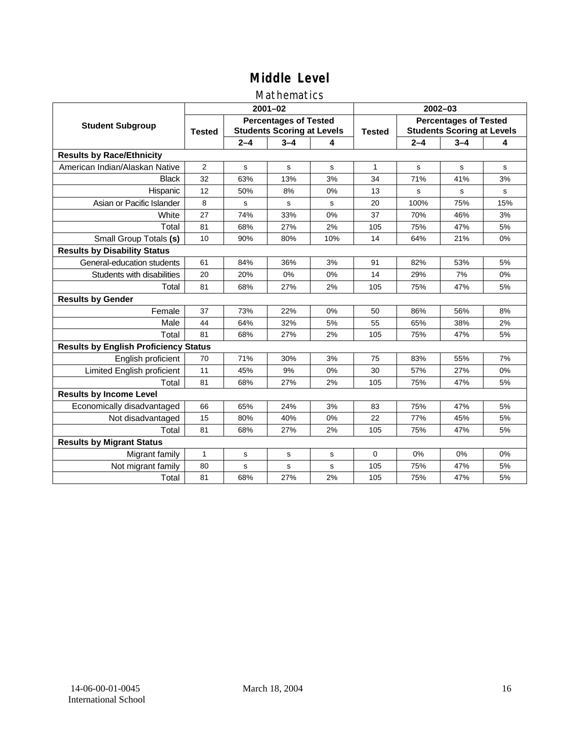### Mathematics

|                                              |                |                                                                   | $2001 - 02$ |     | $2002 - 03$   |                                                                   |                                                                                                                                                  |       |  |
|----------------------------------------------|----------------|-------------------------------------------------------------------|-------------|-----|---------------|-------------------------------------------------------------------|--------------------------------------------------------------------------------------------------------------------------------------------------|-------|--|
| <b>Student Subgroup</b>                      | <b>Tested</b>  | <b>Percentages of Tested</b><br><b>Students Scoring at Levels</b> |             |     | <b>Tested</b> | <b>Percentages of Tested</b><br><b>Students Scoring at Levels</b> |                                                                                                                                                  |       |  |
|                                              |                | $2 - 4$                                                           | $3 - 4$     | 4   |               | $2 - 4$                                                           | $3 - 4$<br>s<br>41%<br>s<br>75%<br>46%<br>47%<br>21%<br>53%<br>7%<br>47%<br>56%<br>38%<br>47%<br>55%<br>27%<br>47%<br>47%<br>45%<br>47%<br>$0\%$ | 4     |  |
| <b>Results by Race/Ethnicity</b>             |                |                                                                   |             |     |               |                                                                   |                                                                                                                                                  |       |  |
| American Indian/Alaskan Native               | $\overline{2}$ | s                                                                 | s           | s   | $\mathbf{1}$  | s                                                                 |                                                                                                                                                  | s     |  |
| <b>Black</b>                                 | 32             | 63%                                                               | 13%         | 3%  | 34            | 71%                                                               |                                                                                                                                                  | 3%    |  |
| Hispanic                                     | 12             | 50%                                                               | 8%          | 0%  | 13            | s                                                                 |                                                                                                                                                  | s     |  |
| Asian or Pacific Islander                    | 8              | s                                                                 | s           | s   | 20            | 100%                                                              |                                                                                                                                                  | 15%   |  |
| White                                        | 27             | 74%                                                               | 33%         | 0%  | 37            | 70%                                                               |                                                                                                                                                  | 3%    |  |
| Total                                        | 81             | 68%                                                               | 27%         | 2%  | 105           | 75%                                                               |                                                                                                                                                  | 5%    |  |
| Small Group Totals (s)                       | 10             | 90%                                                               | 80%         | 10% | 14            | 64%                                                               |                                                                                                                                                  | 0%    |  |
| <b>Results by Disability Status</b>          |                |                                                                   |             |     |               |                                                                   |                                                                                                                                                  |       |  |
| General-education students                   | 61             | 84%                                                               | 36%         | 3%  | 91            | 82%                                                               |                                                                                                                                                  | 5%    |  |
| Students with disabilities                   | 20             | 20%                                                               | 0%          | 0%  | 14            | 29%                                                               |                                                                                                                                                  | $0\%$ |  |
| Total                                        | 81             | 68%                                                               | 27%         | 2%  | 105           | 75%                                                               |                                                                                                                                                  | 5%    |  |
| <b>Results by Gender</b>                     |                |                                                                   |             |     |               |                                                                   |                                                                                                                                                  |       |  |
| Female                                       | 37             | 73%                                                               | 22%         | 0%  | 50            | 86%                                                               |                                                                                                                                                  | 8%    |  |
| Male                                         | 44             | 64%                                                               | 32%         | 5%  | 55            | 65%                                                               |                                                                                                                                                  | 2%    |  |
| Total                                        | 81             | 68%                                                               | 27%         | 2%  | 105           | 75%                                                               |                                                                                                                                                  | 5%    |  |
| <b>Results by English Proficiency Status</b> |                |                                                                   |             |     |               |                                                                   |                                                                                                                                                  |       |  |
| English proficient                           | 70             | 71%                                                               | 30%         | 3%  | 75            | 83%                                                               |                                                                                                                                                  | 7%    |  |
| Limited English proficient                   | 11             | 45%                                                               | 9%          | 0%  | 30            | 57%                                                               |                                                                                                                                                  | 0%    |  |
| Total                                        | 81             | 68%                                                               | 27%         | 2%  | 105           | 75%                                                               |                                                                                                                                                  | 5%    |  |
| <b>Results by Income Level</b>               |                |                                                                   |             |     |               |                                                                   |                                                                                                                                                  |       |  |
| Economically disadvantaged                   | 66             | 65%                                                               | 24%         | 3%  | 83            | 75%                                                               |                                                                                                                                                  | 5%    |  |
| Not disadvantaged                            | 15             | 80%                                                               | 40%         | 0%  | 22            | 77%                                                               |                                                                                                                                                  | 5%    |  |
| Total                                        | 81             | 68%                                                               | 27%         | 2%  | 105           | 75%                                                               |                                                                                                                                                  | 5%    |  |
| <b>Results by Migrant Status</b>             |                |                                                                   |             |     |               |                                                                   |                                                                                                                                                  |       |  |
| Migrant family                               | 1              | s                                                                 | $\mathbf s$ | s   | $\Omega$      | 0%                                                                |                                                                                                                                                  | 0%    |  |
| Not migrant family                           | 80             | s                                                                 | $\mathbf s$ | s   | 105           | 75%                                                               | 47%                                                                                                                                              | 5%    |  |
| Total                                        | 81             | 68%                                                               | 27%         | 2%  | 105           | 75%                                                               | 47%                                                                                                                                              | 5%    |  |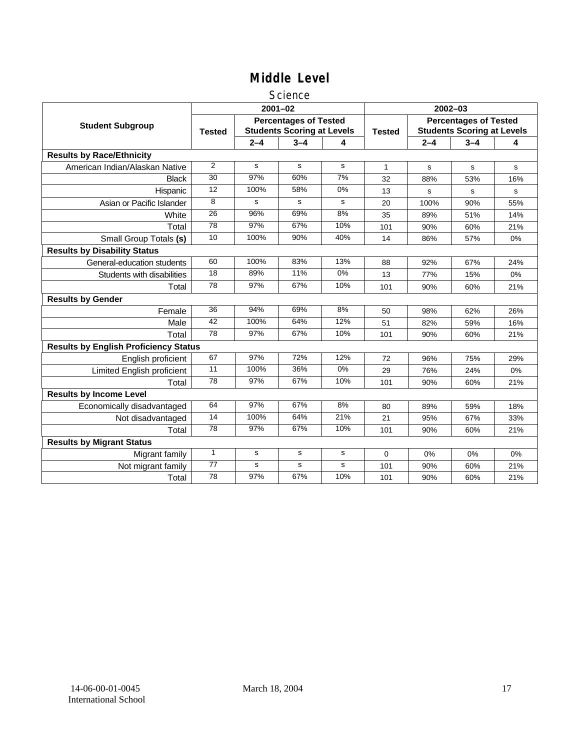### Science

|                                              |                                                                                    |             | $2001 - 02$ |       | $2002 - 03$   |                                                                   |         |     |  |
|----------------------------------------------|------------------------------------------------------------------------------------|-------------|-------------|-------|---------------|-------------------------------------------------------------------|---------|-----|--|
| <b>Student Subgroup</b>                      | <b>Percentages of Tested</b><br><b>Students Scoring at Levels</b><br><b>Tested</b> |             |             |       | <b>Tested</b> | <b>Percentages of Tested</b><br><b>Students Scoring at Levels</b> |         |     |  |
|                                              |                                                                                    | $2 - 4$     | $3 - 4$     | 4     |               | $2 - 4$                                                           | $3 - 4$ | 4   |  |
| <b>Results by Race/Ethnicity</b>             |                                                                                    |             |             |       |               |                                                                   |         |     |  |
| American Indian/Alaskan Native               | $\overline{2}$                                                                     | s           | s           | s     | $\mathbf{1}$  | s                                                                 | s       | s   |  |
| <b>Black</b>                                 | 30                                                                                 | 97%         | 60%         | 7%    | 32            | 88%                                                               | 53%     | 16% |  |
| Hispanic                                     | 12                                                                                 | 100%        | 58%         | 0%    | 13            | s                                                                 | s       | s   |  |
| Asian or Pacific Islander                    | 8                                                                                  | s           | s           | s     | 20            | 100%                                                              | 90%     | 55% |  |
| White                                        | 26                                                                                 | 96%         | 69%         | 8%    | 35            | 89%                                                               | 51%     | 14% |  |
| Total                                        | 78                                                                                 | 97%         | 67%         | 10%   | 101           | 90%                                                               | 60%     | 21% |  |
| Small Group Totals (s)                       | 10                                                                                 | 100%        | 90%         | 40%   | 14            | 86%                                                               | 57%     | 0%  |  |
| <b>Results by Disability Status</b>          |                                                                                    |             |             |       |               |                                                                   |         |     |  |
| General-education students                   | 60                                                                                 | 100%        | 83%         | 13%   | 88            | 92%                                                               | 67%     | 24% |  |
| Students with disabilities                   | $\overline{18}$                                                                    | 89%         | 11%         | $0\%$ | 13            | 77%                                                               | 15%     | 0%  |  |
| Total                                        | 78                                                                                 | 97%         | 67%         | 10%   | 101           | 90%                                                               | 60%     | 21% |  |
| <b>Results by Gender</b>                     |                                                                                    |             |             |       |               |                                                                   |         |     |  |
| Female                                       | $\overline{36}$                                                                    | 94%         | 69%         | 8%    | 50            | 98%                                                               | 62%     | 26% |  |
| Male                                         | 42                                                                                 | 100%        | 64%         | 12%   | 51            | 82%                                                               | 59%     | 16% |  |
| Total                                        | 78                                                                                 | 97%         | 67%         | 10%   | 101           | 90%                                                               | 60%     | 21% |  |
| <b>Results by English Proficiency Status</b> |                                                                                    |             |             |       |               |                                                                   |         |     |  |
| English proficient                           | 67                                                                                 | 97%         | 72%         | 12%   | 72            | 96%                                                               | 75%     | 29% |  |
| <b>Limited English proficient</b>            | 11                                                                                 | 100%        | 36%         | 0%    | 29            | 76%                                                               | 24%     | 0%  |  |
| Total                                        | 78                                                                                 | 97%         | 67%         | 10%   | 101           | 90%                                                               | 60%     | 21% |  |
| <b>Results by Income Level</b>               |                                                                                    |             |             |       |               |                                                                   |         |     |  |
| Economically disadvantaged                   | 64                                                                                 | 97%         | 67%         | 8%    | 80            | 89%                                                               | 59%     | 18% |  |
| Not disadvantaged                            | 14                                                                                 | 100%        | 64%         | 21%   | 21            | 95%                                                               | 67%     | 33% |  |
| Total                                        | 78                                                                                 | 97%         | 67%         | 10%   | 101           | 90%                                                               | 60%     | 21% |  |
| <b>Results by Migrant Status</b>             |                                                                                    |             |             |       |               |                                                                   |         |     |  |
| Migrant family                               | 1                                                                                  | s           | s           | s     | 0             | $0\%$                                                             | 0%      | 0%  |  |
| Not migrant family                           | $\overline{77}$                                                                    | $\mathbf s$ | s           | s     | 101           | 90%                                                               | 60%     | 21% |  |
| Total                                        | $\overline{78}$                                                                    | 97%         | 67%         | 10%   | 101           | 90%                                                               | 60%     | 21% |  |